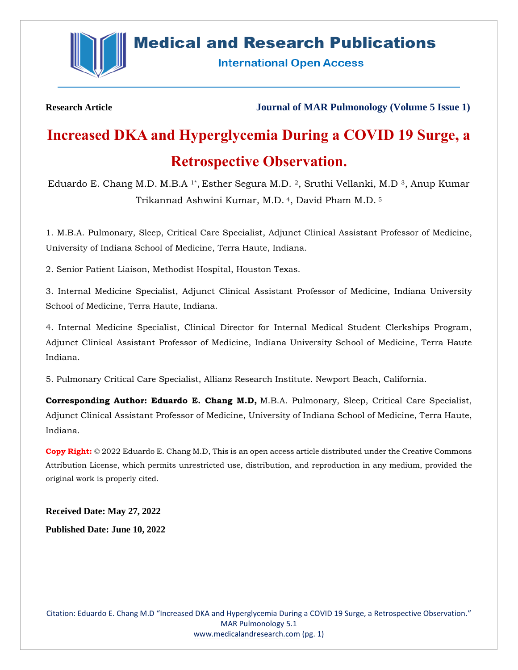

# **Medical and Research Publications**

**International Open Access** 

**Research Article Journal of MAR Pulmonology (Volume 5 Issue 1)**

# **Increased DKA and Hyperglycemia During a COVID 19 Surge, a Retrospective Observation.**

Eduardo E. Chang M.D. M.B.A 1\*, Esther Segura M.D. 2, Sruthi Vellanki, M.D <sup>3</sup>, Anup Kumar Trikannad Ashwini Kumar, M.D. <sup>4</sup>, David Pham M.D. <sup>5</sup>

1. M.B.A. Pulmonary, Sleep, Critical Care Specialist, Adjunct Clinical Assistant Professor of Medicine, University of Indiana School of Medicine, Terra Haute, Indiana.

2. Senior Patient Liaison, Methodist Hospital, Houston Texas.

3. Internal Medicine Specialist, Adjunct Clinical Assistant Professor of Medicine, Indiana University School of Medicine, Terra Haute, Indiana.

4. Internal Medicine Specialist, Clinical Director for Internal Medical Student Clerkships Program, Adjunct Clinical Assistant Professor of Medicine, Indiana University School of Medicine, Terra Haute Indiana.

5. Pulmonary Critical Care Specialist, Allianz Research Institute. Newport Beach, California.

**Corresponding Author: Eduardo E. Chang M.D,** M.B.A. Pulmonary, Sleep, Critical Care Specialist, Adjunct Clinical Assistant Professor of Medicine, University of Indiana School of Medicine, Terra Haute, Indiana.

**Copy Right:** © 2022 Eduardo E. Chang M.D, This is an open access article distributed under the Creative Commons Attribution License, which permits unrestricted use, distribution, and reproduction in any medium, provided the original work is properly cited.

**Received Date: May 27, 2022 Published Date: June 10, 2022**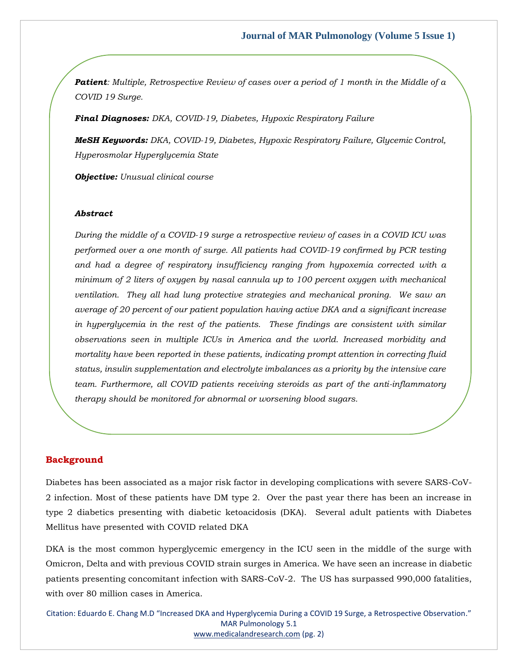*Patient: Multiple, Retrospective Review of cases over a period of 1 month in the Middle of a COVID 19 Surge.*

*Final Diagnoses: DKA, COVID-19, Diabetes, Hypoxic Respiratory Failure*

*MeSH Keywords: DKA, COVID-19, Diabetes, Hypoxic Respiratory Failure, Glycemic Control, Hyperosmolar Hyperglycemia State*

*Objective: Unusual clinical course*

#### *Abstract*

*During the middle of a COVID-19 surge a retrospective review of cases in a COVID ICU was performed over a one month of surge. All patients had COVID-19 confirmed by PCR testing and had a degree of respiratory insufficiency ranging from hypoxemia corrected with a minimum of 2 liters of oxygen by nasal cannula up to 100 percent oxygen with mechanical ventilation. They all had lung protective strategies and mechanical proning. We saw an average of 20 percent of our patient population having active DKA and a significant increase in hyperglycemia in the rest of the patients. These findings are consistent with similar observations seen in multiple ICUs in America and the world. Increased morbidity and mortality have been reported in these patients, indicating prompt attention in correcting fluid status, insulin supplementation and electrolyte imbalances as a priority by the intensive care team. Furthermore, all COVID patients receiving steroids as part of the anti-inflammatory therapy should be monitored for abnormal or worsening blood sugars.* 

#### **Background**

Diabetes has been associated as a major risk factor in developing complications with severe SARS-CoV-2 infection. Most of these patients have DM type 2. Over the past year there has been an increase in type 2 diabetics presenting with diabetic ketoacidosis (DKA). Several adult patients with Diabetes Mellitus have presented with COVID related DKA

DKA is the most common hyperglycemic emergency in the ICU seen in the middle of the surge with Omicron, Delta and with previous COVID strain surges in America. We have seen an increase in diabetic patients presenting concomitant infection with SARS-CoV-2. The US has surpassed 990,000 fatalities, with over 80 million cases in America.

Citation: Eduardo E. Chang M.D "Increased DKA and Hyperglycemia During a COVID 19 Surge, a Retrospective Observation." MAR Pulmonology 5.1 [www.medicalandresearch.com](http://www.medicalandresearch.com/) (pg. 2)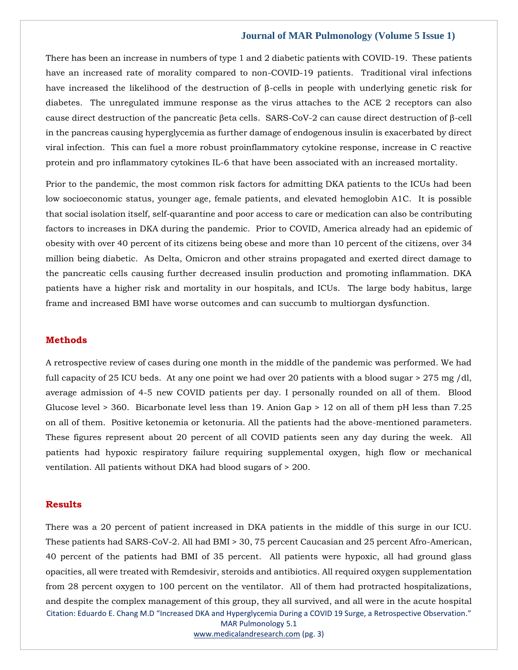#### **Journal of MAR Pulmonology (Volume 5 Issue 1)**

There has been an increase in numbers of type 1 and 2 diabetic patients with COVID-19. These patients have an increased rate of morality compared to non-COVID-19 patients. Traditional viral infections have increased the likelihood of the destruction of β-cells in people with underlying genetic risk for diabetes. The unregulated immune response as the virus attaches to the ACE 2 receptors can also cause direct destruction of the pancreatic βeta cells. SARS-CoV-2 can cause direct destruction of β-cell in the pancreas causing hyperglycemia as further damage of endogenous insulin is exacerbated by direct viral infection. This can fuel a more robust proinflammatory cytokine response, increase in C reactive protein and pro inflammatory cytokines IL-6 that have been associated with an increased mortality.

Prior to the pandemic, the most common risk factors for admitting DKA patients to the ICUs had been low socioeconomic status, younger age, female patients, and elevated hemoglobin A1C. It is possible that social isolation itself, self-quarantine and poor access to care or medication can also be contributing factors to increases in DKA during the pandemic. Prior to COVID, America already had an epidemic of obesity with over 40 percent of its citizens being obese and more than 10 percent of the citizens, over 34 million being diabetic. As Delta, Omicron and other strains propagated and exerted direct damage to the pancreatic cells causing further decreased insulin production and promoting inflammation. DKA patients have a higher risk and mortality in our hospitals, and ICUs. The large body habitus, large frame and increased BMI have worse outcomes and can succumb to multiorgan dysfunction.

#### **Methods**

A retrospective review of cases during one month in the middle of the pandemic was performed. We had full capacity of 25 ICU beds. At any one point we had over 20 patients with a blood sugar > 275 mg /dl, average admission of 4-5 new COVID patients per day. I personally rounded on all of them. Blood Glucose level > 360. Bicarbonate level less than 19. Anion Gap > 12 on all of them pH less than 7.25 on all of them. Positive ketonemia or ketonuria. All the patients had the above-mentioned parameters. These figures represent about 20 percent of all COVID patients seen any day during the week. All patients had hypoxic respiratory failure requiring supplemental oxygen, high flow or mechanical ventilation. All patients without DKA had blood sugars of > 200.

#### **Results**

Citation: Eduardo E. Chang M.D "Increased DKA and Hyperglycemia During a COVID 19 Surge, a Retrospective Observation." MAR Pulmonology 5.1 There was a 20 percent of patient increased in DKA patients in the middle of this surge in our ICU. These patients had SARS-CoV-2. All had BMI > 30, 75 percent Caucasian and 25 percent Afro-American, 40 percent of the patients had BMI of 35 percent. All patients were hypoxic, all had ground glass opacities, all were treated with Remdesivir, steroids and antibiotics. All required oxygen supplementation from 28 percent oxygen to 100 percent on the ventilator. All of them had protracted hospitalizations, and despite the complex management of this group, they all survived, and all were in the acute hospital

[www.medicalandresearch.com](http://www.medicalandresearch.com/) (pg. 3)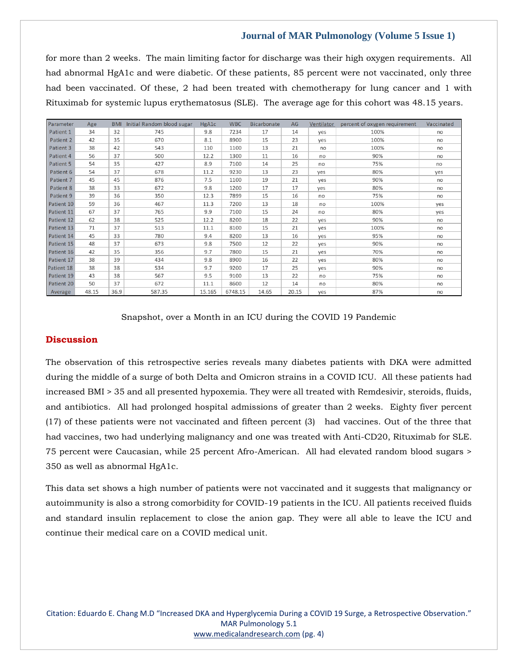## **Journal of MAR Pulmonology (Volume 5 Issue 1)**

for more than 2 weeks. The main limiting factor for discharge was their high oxygen requirements. All had abnormal HgA1c and were diabetic. Of these patients, 85 percent were not vaccinated, only three had been vaccinated. Of these, 2 had been treated with chemotherapy for lung cancer and 1 with Rituximab for systemic lupus erythematosus (SLE). The average age for this cohort was 48.15 years.

| Parameter  | Age   | <b>BMI</b> | Initial Random blood sugar | HgA1c  | <b>WBC</b> | <b>Bicarbonate</b> | AG    | Ventilator | percent of oxygen requirement | Vaccinated |
|------------|-------|------------|----------------------------|--------|------------|--------------------|-------|------------|-------------------------------|------------|
| Patient 1  | 34    | 32         | 745                        | 9.8    | 7234       | 17                 | 14    | yes        | 100%                          | no         |
| Patient 2  | 42    | 35         | 670                        | 8.1    | 8900       | 15                 | 23    | yes        | 100%                          | no         |
| Patient 3  | 38    | 42         | 543                        | 110    | 1100       | 13                 | 21    | no         | 100%                          | no         |
| Patient 4  | 56    | 37         | 500                        | 12.2   | 1300       | 11                 | 16    | no         | 90%                           | no         |
| Patient 5  | 54    | 35         | 427                        | 8.9    | 7100       | 14                 | 25    | no         | 75%                           | no         |
| Patient 6  | 54    | 37         | 678                        | 11.2   | 9230       | 13                 | 23    | yes        | 80%                           | yes        |
| Patient 7  | 45    | 45         | 876                        | 7.5    | 1100       | 19                 | 21    | yes        | 90%                           | no         |
| Patient 8  | 38    | 33         | 672                        | 9.8    | 1200       | 17                 | 17    | yes        | 80%                           | no         |
| Patient 9  | 39    | 36         | 350                        | 12.3   | 7899       | 15                 | 16    | no         | 75%                           | no         |
| Patient 10 | 59    | 36         | 467                        | 11.3   | 7200       | 13                 | 18    | no         | 100%                          | yes        |
| Patient 11 | 67    | 37         | 765                        | 9.9    | 7100       | 15                 | 24    | no         | 80%                           | yes        |
| Patient 12 | 62    | 38         | 525                        | 12.2   | 8200       | 18                 | 22    | yes        | 90%                           | no         |
| Patient 13 | 71    | 37         | 513                        | 11.1   | 8100       | 15                 | 21    | yes        | 100%                          | no         |
| Patient 14 | 45    | 33         | 780                        | 9.4    | 8200       | 13                 | 16    | yes        | 95%                           | no         |
| Patient 15 | 48    | 37         | 673                        | 9.8    | 7500       | 12                 | 22    | yes        | 90%                           | no         |
| Patient 16 | 42    | 35         | 356                        | 9.7    | 7800       | 15                 | 21    | yes        | 70%                           | no         |
| Patient 17 | 38    | 39         | 434                        | 9.8    | 8900       | 16                 | 22    | yes        | 80%                           | no         |
| Patient 18 | 38    | 38         | 534                        | 9.7    | 9200       | 17                 | 25    | yes        | 90%                           | no         |
| Patient 19 | 43    | 38         | 567                        | 9.5    | 9100       | 13                 | 22    | no         | 75%                           | no         |
| Patient 20 | 50    | 37         | 672                        | 11.1   | 8600       | 12                 | 14    | no         | 80%                           | no         |
| Average    | 48.15 | 36.9       | 587.35                     | 15.165 | 6748.15    | 14.65              | 20.15 | ves        | 87%                           | no         |

Snapshot, over a Month in an ICU during the COVID 19 Pandemic

## **Discussion**

The observation of this retrospective series reveals many diabetes patients with DKA were admitted during the middle of a surge of both Delta and Omicron strains in a COVID ICU. All these patients had increased BMI > 35 and all presented hypoxemia. They were all treated with Remdesivir, steroids, fluids, and antibiotics. All had prolonged hospital admissions of greater than 2 weeks. Eighty fiver percent (17) of these patients were not vaccinated and fifteen percent (3) had vaccines. Out of the three that had vaccines, two had underlying malignancy and one was treated with Anti-CD20, Rituximab for SLE. 75 percent were Caucasian, while 25 percent Afro-American. All had elevated random blood sugars > 350 as well as abnormal HgA1c.

This data set shows a high number of patients were not vaccinated and it suggests that malignancy or autoimmunity is also a strong comorbidity for COVID-19 patients in the ICU. All patients received fluids and standard insulin replacement to close the anion gap. They were all able to leave the ICU and continue their medical care on a COVID medical unit.

Citation: Eduardo E. Chang M.D "Increased DKA and Hyperglycemia During a COVID 19 Surge, a Retrospective Observation." MAR Pulmonology 5.1 [www.medicalandresearch.com](http://www.medicalandresearch.com/) (pg. 4)